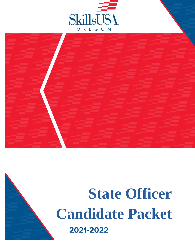



# $L$ 2022 P.O. Box 912 | Jacksonville, OR 97530 **State Officer Candidate Packet**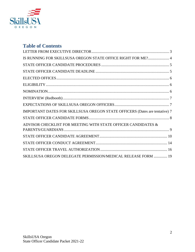

### **Table of Contents**

| IS RUNNING FOR SKILLSUSA OREGON STATE OFFICE RIGHT FOR ME? 4                |
|-----------------------------------------------------------------------------|
|                                                                             |
|                                                                             |
|                                                                             |
|                                                                             |
|                                                                             |
|                                                                             |
|                                                                             |
| IMPORTANT DATES FOR SKILLSUSA OREGON STATE OFFICERS (Dates are tentative) 7 |
|                                                                             |
| ADVISOR CHECKLIST FOR MEETING WITH STATE OFFICER CANDIDATES &               |
|                                                                             |
|                                                                             |
|                                                                             |
| SKILLSUSA OREGON DELEGATE PERMISSION/MEDICAL RELEASE FORM  19               |
|                                                                             |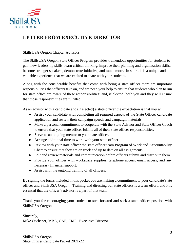

### <span id="page-2-0"></span>**LETTER FROM EXECUTIVE DIRECTOR**

#### SkillsUSA Oregon Chapter Advisors,

The SkillsUSA Oregon State Officer Program provides tremendous opportunities for students to gain new leadership skills, learn critical thinking, improve their planning and organization skills, become stronger speakers, demonstrate initiative, and much more. In short, it is a unique and valuable experience that we are excited to share with your students.

Along with the considerable benefits that come with being a state officer there are important responsibilities that officers take on, and we need your help to ensure that students who plan to run for state office are aware of these responsibilities; and, if elected, both you and they will ensure that those responsibilities are fulfilled.

As an advisor with a candidate and (if elected) a state officer the expectation is that you will:

- Assist your candidate with completing all required aspects of the State Officer candidate application and review their campaign speech and campaign materials.
- Make a personal commitment to cooperate with the State Advisor and State Officer Coach to ensure that your state officer fulfills all of their state officer responsibilities.
- Serve as an ongoing mentor to your state officer.
- Arrange additional time to work with your state officer.
- Review with your state officer the state officer team Program of Work and Accountability Chart to ensure that they are on track and up to date on all assignments.
- Edit and review materials and communication before officers submit and distribute them.
- Provide your officer with workspace supplies, telephone access, email access, and any necessary financial support.
- Assist with the ongoing training of all officers.

By signing the forms included in this packet you are making a commitment to your candidate/state officer and SkillsUSA Oregon. Training and directing our state officers is a team effort, and it is essential that the officer's advisor is a part of that team.

Thank you for encouraging your student to step forward and seek a state officer position with SkillsUSA Oregon.

Sincerely, Mike Oechsner, MBA, CAE, CMP | Executive Director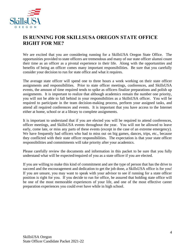

### <span id="page-3-0"></span>**IS RUNNING FOR SKILLSUSA OREGON STATE OFFICE RIGHT FOR ME?**

We are excited that you are considering running for a SkillsUSA Oregon State Office. The opportunities provided to state officers are tremendous and many of our state officer alumni count their time as an officer as a pivotal experience in their life. Along with the opportunities and benefits of being an officer comes many important responsibilities. Be sure that you carefully consider your decision to run for state office and what it requires.

The average state officer will spend one to three hours a week working on their state officer assignments and responsibilities. Prior to state officer meetings, conferences, and SkillsUSA events, the amount of time required tends to spike as officers finalize preparations and polish up assignments. It is important to realize that although academics remain the number one priority, you will not be able to fall behind in your responsibilities as a SkillsUSA officer. You will be required to participate in the team decision-making process, perform your assigned tasks, and attend all required conferences and events. It is important that you have access to the Internet either at home, school or at a library to complete assignments.

It is important to understand that if you are elected you will be required to attend conferences, officer meetings, and SkillsUSA events throughout the year. You will not be allowed to leave early, come late, or miss any parts of these events (except in the case of an extreme emergency). We have frequently had officers who had to miss out on big games, dances, trips, etc., because they conflicted with their state officer responsibilities. The expectation is that your state officer responsibilities and commitments will take priority after your academics.

Please carefully review the documents and information in this packet to be sure that you fully understand what will be expected/required of you as a state officer if you are elected.

If you are willing to make this kind of commitment and are the type of person that has the drive to succeed and the encouragement and dedication to get the job done, a SkillsUSA office is for you! If you are unsure, you may want to speak with your advisor to see if running for a state officer position is right for you. If you decide to run for office, be assured that holding state office will be one of the most memorable experiences of your life, and one of the most effective career preparation experiences you could ever have while in high school.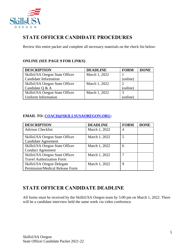

### <span id="page-4-0"></span>**STATE OFFICER CANDIDATE PROCEDURES**

Review this entire packet and complete all necessary materials on the check list below:

#### **ONLINE (SEE PAGE 9 FOR LINKS)**:

| <b>DESCRIPTION</b>                    | <b>DEADLINE</b> | <b>FORM</b> | <b>DONE</b> |
|---------------------------------------|-----------------|-------------|-------------|
| <b>SkillsUSA</b> Oregon State Officer | March 1, 2022   |             |             |
| Candidate Information                 |                 | (online)    |             |
| <b>SkillsUSA</b> Oregon State Officer | March 1, 2022   |             |             |
| Candidate Q & A                       |                 | (online)    |             |
| SkillsUSA Oregon State Officer        | March 1, 2022   |             |             |
| Uniform Information                   |                 | (online)    |             |

### **EMAIL TO: [COACH@SKILLSUSAOREGON.ORG:](mailto:COACH@SKILLSUSAOREGON.ORG)**

| <b>DESCRIPTION</b>                                                  | <b>DEADLINE</b> | <b>FORM</b> | <b>DONE</b> |
|---------------------------------------------------------------------|-----------------|-------------|-------------|
| <b>Advisor Checklist</b>                                            | March 1, 2022   | 4           |             |
| <b>SkillsUSA</b> Oregon State Officer<br><b>Candidate Agreement</b> | March 1, 2022   | 5           |             |
| SkillsUSA Oregon State Officer<br><b>Conduct Agreement</b>          | March 1, 2022   | 6           |             |
| SkillsUSA Oregon State Officer<br><b>Travel Authorization Form</b>  | March 1, 2022   |             |             |
| SkillsUSA Oregon Delegate<br>Permission/Medical Release Form        | March 1, 2022   | 9           |             |

### <span id="page-4-1"></span>**STATE OFFICER CANDIDATE DEADLINE**

All forms must be received by the SkillsUSA Oregon team by 5:00 pm on March 1, 2022. There will be a candidate interview held the same week via video conference.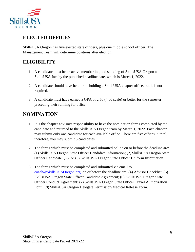

### <span id="page-5-0"></span>**ELECTED OFFICES**

SkillsUSA Oregon has five elected state officers, plus one middle school officer. The Management Team will determine positions after election.

# <span id="page-5-1"></span>**ELIGIBILITY**

- 1. A candidate must be an active member in good standing of SkillsUSA Oregon and SkillsUSA Inc. by the published deadline date, which is March 1, 2022.
- 2. A candidate should have held or be holding a SkillsUSA chapter office, but it is not required.
- 3. A candidate must have earned a GPA of 2.50 (4.00 scale) or better for the semester preceding their running for office.

### <span id="page-5-2"></span>**NOMINATION**

- 1. It is the chapter advisor's responsibility to have the nomination forms completed by the candidate and returned to the SkillsUSA Oregon team by March 1, 2022. Each chapter may submit only one candidate for each available office. There are five offices in total, therefore, you may submit 5 candidates.
- 2. The forms which must be completed and submitted online on or before the deadline are: (1) SkillsUSA Oregon State Officer Candidate Information; (2) SkillsUSA Oregon State Officer Candidate Q & A; (3) SkillsUSA Oregon State Officer Uniform Information.
- 3. The forms which must be completed and submitted via email to [coach@SkillsUSAOregon.org](mailto:coach@SkillsUSAOregon.org) on or before the deadline are: (4) Advisor Checklist; (5) SkillsUSA Oregon State Officer Candidate Agreement; (6) SkillsUSA Oregon State Officer Conduct Agreement; (7) SkillsUSA Oregon State Officer Travel Authorization Form; (8) SkillsUSA Oregon Delegate Permission/Medical Release Form.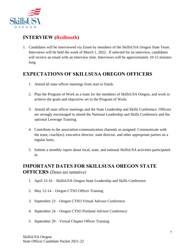

### <span id="page-6-0"></span>**INTERVIEW (Redbooth)**

1. Candidates will be interviewed via Zoom by members of the SkillsUSA Oregon State Team. Interviews will be held the week of March 1, 2022. If selected for an interview, candidates will receive an email with an interview time. Interviews will be approximately 10-12 minutes long.

### <span id="page-6-1"></span>**EXPECTATIONS OF SKILLSUSA OREGON OFFICERS**

- 1. Attend all state officer meetings from start to finish.
- 2. Plan the Program of Work as a team for the members of SkillsUSA Oregon, and work to achieve the goals and objectives set in the Program of Work.
- 3. Attend all state officer meetings and the State Leadership and Skills Conference. Officers are strongly encouraged to attend the National Leadership and Skills Conference and the optional Leverage Training.
- 4. Contribute to the association communication channels as assigned. Communicate with the team, coach(es), executive director, state director, and other appropriate parties on a regular basis.
- 5. Submit a monthly report about local, state, and national SkillsUSA activities participated in.

### <span id="page-6-2"></span>**IMPORTANT DATES FOR SKILLSUSA OREGON STATE OFFICERS** (Dates are tentative)

- 1. April 15-16 SkillsUSA Oregon State Leadership and Skills Conference
- 2. May 12-14 Oregon CTSO Officer Training
- 3. September 23 Oregon CTSO Virtual Advisor Conference
- 4. September 24 Oregon CTSO Portland Advisor Conference
- 5. September 29 Virtual Chapter Officer Training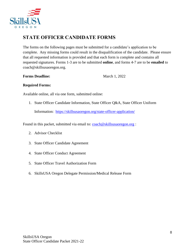

### <span id="page-7-0"></span>**STATE OFFICER CANDIDATE FORMS**

The forms on the following pages must be submitted for a candidate's application to be complete. Any missing forms could result in the disqualification of the candidate. Please ensure that all requested information is provided and that each form is complete and contains all requested signatures. Forms 1-3 are to be submitted **online**, and forms 4-7 are to be **emailed** to coach@skillsusaoregon.org.

**Forms Deadline:** March 1, 2022

#### **Required Forms:**

Available online, all via one form, submitted online:

1. State Officer Candidate Information, State Officer Q&A, State Officer Uniform

Information: <https://skillsusaoregon.org/state-officer-application/>

Found in this packet, submitted via email to: [coach@skillsusaoregon.org](mailto:coach@skillsusaoregon.org) :

- 2. Advisor Checklist
- 3. State Officer Candidate Agreement
- 4. State Officer Conduct Agreement
- 5. State Officer Travel Authorization Form
- 6. SkillsUSA Oregon Delegate Permission/Medical Release Form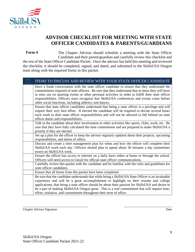

### **ADVISOR CHECKLIST FOR MEETING WITH STATE OFFICER CANDIDATES & PARENTS/GUARDIANS**

<span id="page-8-0"></span>The Chapter Advisor should schedule a meeting with the State Officer Candidate and their parent/guardian and carefully review this checklist and the rest of the State Officer Candidate Packet. Once the advisor has held this meeting and reviewed the checklist, it should be completed, signed, and dated, and submitted to the SkillsUSA Oregon team along with the required forms in this packet. **Form 4**

| ITEMS TO DISCUSS AND REVIEW WITH YOUR STATE OFFICER CANDIDATE                                                                                                                                                                                                                                                                                                                                                                                                       |
|---------------------------------------------------------------------------------------------------------------------------------------------------------------------------------------------------------------------------------------------------------------------------------------------------------------------------------------------------------------------------------------------------------------------------------------------------------------------|
| Have a frank conversation with the state officer candidate to ensure that they understand the<br>commitments required of state officers. Be sure that they understand that at times they will have<br>to miss out on sporting events or other personal activities in order to fulfill their state officer<br>responsibilities. Officers must recognize that SkillsUSA conferences and events come before<br>other social functions, including athletics and dances. |
| Ensure that state officer candidates understand that being a state officer is a privilege and will<br>require their very best effort. If elected the candidate will be required to devote several hours<br>each week to their state officer responsibilities and will not be allowed to fall behind on state<br>officer duties and responsibilities.                                                                                                                |
| Talk to the candidate about their involvement in other activities like sports, clubs, work, etc. Be<br>sure that they have fully calculated the time commitment and are prepared to make SkillsUSA a<br>priority if they are elected.                                                                                                                                                                                                                               |
| Set up a plan for the officer to keep the advisor regularly updated about their projects, upcoming<br>responsibilities, and duties of office.                                                                                                                                                                                                                                                                                                                       |
| Discuss and create a time management plan for when and how the officer will complete their<br>SkillsUSA work each day. Officers should plan to spend about 30 minutes a day (sometimes<br>more) on SkillsUSA work.                                                                                                                                                                                                                                                  |
| Ensure the officer has access to internet on a daily basis either at home or through the school.<br>Officers will need access to Gmail for official state officer communications.                                                                                                                                                                                                                                                                                   |
| Carefully review this packet with the candidate and be familiar with the rules and guidelines for<br>state officer candidates.                                                                                                                                                                                                                                                                                                                                      |
| Ensure that all forms from this packet have been completed.                                                                                                                                                                                                                                                                                                                                                                                                         |
| Be sure that the candidate understands that while being a SkillsUSA State Officer is an invaluable<br>experience and will be a great accomplishment to highlight on their resume and college<br>applications, that being a state officer should be about their passion for SkillsUSA and desire to<br>be a part of making SkillsUSA Oregon great. This is a real commitment that will require time,                                                                 |
| effort, initiative, and commitment throughout their term of office.                                                                                                                                                                                                                                                                                                                                                                                                 |

\_\_\_\_\_\_\_\_\_\_\_\_\_\_\_\_\_\_\_\_\_\_\_\_\_\_\_\_\_\_\_\_\_\_\_\_\_\_\_\_\_ \_\_\_\_\_\_\_\_\_\_\_\_\_\_\_\_\_\_\_\_\_\_\_\_\_\_\_\_\_\_

Chapter Advisor Signature Date Date of the United States and Date Date Date Date Date Date Date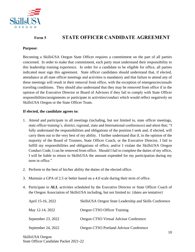

#### <span id="page-9-0"></span>**STATE OFFICER CANDIDATE AGREEMENT Form 5**

### **Purpose:**

Becoming a SkillsUSA Oregon State Officer requires a commitment on the part of all parties concerned. In order to make that commitment, each party must understand their responsibility to this leadership training experience. In order for a candidate to be eligible for office, all parties indicated *must* sign this agreement. State officer candidates should understand that, if elected, attendance at all state officer meetings and activities is mandatory and that failure to attend any of these meetings will result in their removal from office, with the exception of emergencies/unsafe traveling conditions. They should also understand that they may be removed from office if in the opinion of the Executive Director or Board of Advisors if they fail to comply with State Officer responsibilities/assignments or participate in activities/conduct which would reflect negatively on SkillsUSA Oregon or the State Officer Team.

#### **If elected, the candidate agrees to:**

- 1. Attend and participate in all meetings (including, but not limited to, state officer meetings, state officer training's, district, regional, state and International conferences) and attest that; "I fully understand the responsibilities and obligations of the position I seek and, if elected, will carry them out to the very best of my ability. I further understand that if, in the opinion of the majority of the Board of Trustees, State Officer Coach, or the Executive Director, I fail to fulfill my responsibilities and obligations of office, and/or I violate the SkillsUSA Oregon Conduct Code, I can be removed from office. Should I fail to complete the duties of my office, I will be liable to return to SkillsUSA the amount expended for my participation during my term in office."
- 2. Perform to the best of his/her ability the duties of the elected office.
- 3. Maintain a GPA of 2.5 or better based on a 4.0 scale during their term of office.
- 4. Participate in **ALL** activities scheduled by the Executive Director or State Officer Coach of the Oregon Association of SkillsUSA including, but not limited to: {dates are tentative}

| April 15-16, 2022  | SkillsUSA Oregon State Leadership and Skills Conference |
|--------------------|---------------------------------------------------------|
| May 12-14, 2022    | Oregon CTSO Officer Training                            |
| September 23, 2022 | Oregon CTSO Virtual Advisor Conference                  |
| September 24, 2022 | Oregon CTSO Portland Advisor Conference                 |

SkillsUSA Oregon State Officer Candidate Packet 2021-22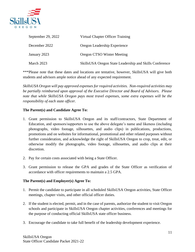

| September 29, 2022 | Virtual Chapter Officer Training                        |
|--------------------|---------------------------------------------------------|
| December 2022      | Oregon Leadership Experience                            |
| January 2023       | Oregon CTSO Winter Meeting                              |
| March 2023         | SkillsUSA Oregon State Leadership and Skills Conference |

\*\*\*Please note that these dates and locations are tentative, however, SkillsUSA will give both students and advisors ample notice ahead of any expected requirement.

*SkillsUSA Oregon will pay approved expenses for required activities. Non-required activities may be partially reimbursed upon approval of the Executive Director and Board of Advisors. Please note that while SkillsUSA Oregon pays most travel expenses, some extra expenses will be the responsibility of each state officer.*

#### **The Parent(s) and Candidate Agree To:**

- 1. Grant permission to SkillsUSA Oregon and its staff/contractors, State Department of Education, and sponsors/supporters to use the above delegate's name and likeness (including photographs, video footage, silhouettes, and audio clips) in publications, productions, promotions and on websites for informational, promotional and other related purposes without further consideration, and acknowledge the right of SkillsUSA Oregon to crop, treat, edit, or otherwise modify the photographs, video footage, silhouettes, and audio clips at their discretion.
- 2. Pay for certain costs associated with being a State Officer.
- 3. Grant permission to release the GPA and grades of the State Officer as verification of accordance with officer requirements to maintain a 2.5 GPA.

#### **The Parent(s) and Employer(s) Agree To:**

- 1. Permit the candidate to participate in all scheduled SkillsUSA Oregon activities, State Officer meetings, chapter visits, and other official officer duties.
- 2. If the student is elected, permit, and in the case of parents, authorize the student to visit Oregon schools and participate in SkillsUSA Oregon chapter activities, conferences and meetings for the purpose of conducting official SkillsUSA state officer business.
- 3. Encourage the candidate to take full benefit of the leadership development experience.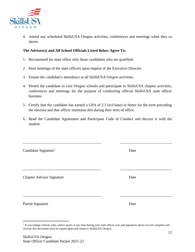

4. Attend any scheduled SkillsUSA Oregon activities, conferences and meetings when they so desire.

#### **The Advisor(s) and All School Officials Listed Below Agree To:**

- 1. Recommend for state office only those candidates who are qualified.
- 2. Host meetings of the state officers upon request of the Executive Director.
- 3. Ensure the candidate's attendance at all SkillsUSA Oregon activities.
- 4. Permit the candidate to visit Oregon schools and participate in SkillsUSA chapter activities, conferences and meetings for the purpose of conducting official SkillsUSA state officer business.
- 5. Certify that the candidate has earned a GPA of 2.5 (4.0 base) or better for the term preceding the election and that officer maintains this during their term of office.
- 6. Read the Candidate Agreement and Participant Code of Conduct and discuss it with the student.

\_\_\_\_\_\_\_\_\_\_\_\_\_\_\_\_\_\_\_\_\_\_\_\_\_\_\_\_\_\_\_\_\_\_\_\_\_\_\_\_\_ \_\_\_\_\_\_\_\_\_\_\_\_\_\_\_\_\_\_\_\_\_\_\_\_\_\_\_

| Candidate Signature <sup>1</sup> | Date |
|----------------------------------|------|
|                                  |      |
| <b>Chapter Advisor Signature</b> | Date |
|                                  |      |
| Parent Signature                 | Date |

 $<sup>1</sup>$  If you change schools, jobs, and/or sports at any time during your state officer year and signatures above are not complete and</sup> current; this document must be signed again and resent to SkillsUSA Oregon.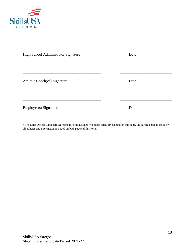

| High School Administrator Signature | Date |
|-------------------------------------|------|
|                                     |      |
| Athletic Coach(es) Signature        | Date |
|                                     |      |
| Employer(s) Signature               | Date |

\_\_\_\_\_\_\_\_\_\_\_\_\_\_\_\_\_\_\_\_\_\_\_\_\_\_\_\_\_\_\_\_\_\_\_\_\_\_\_\_\_ \_\_\_\_\_\_\_\_\_\_\_\_\_\_\_\_\_\_\_\_\_\_\_\_\_\_\_

\* The State Officer Candidate Agreement Form includes two pages total. By signing on this page, the parties agree to abide by all policies and information included on both pages of this form.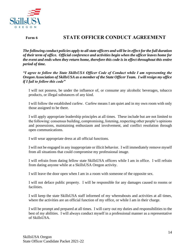

**Form 6**

### <span id="page-13-0"></span>**STATE OFFICER CONDUCT AGREEMENT**

*The following conduct policies apply to all state officers and will be in effect for the full duration of their term of office. Official conference and activities begin when the officer leaves home for the event and ends when they return home, therefore this code is in effect throughout this entire period of time.* 

*"I agree to follow the State SkillsUSA Officer Code of Conduct while I am representing the Oregon Association of SkillsUSA as a member of the State Officer Team. I will resign my office if I fail to follow this code"*

I will not possess, be under the influence of, or consume any alcoholic beverages, tobacco products, or illegal substances of any kind.

I will follow the established curfew. Curfew means I am quiet and in my own room with only those assigned to be there.

I will apply appropriate leadership principles at all times. These include but are not limited to the following: consensus building, compromising, listening, respecting other people's opinions and possessions, maintaining enthusiasm and involvement, and conflict resolution through open communications.

I will wear appropriate dress at all official functions.

I will not be engaged in any inappropriate or illicit behavior. I will immediately remove myself from all situations that could compromise my professional image.

I will refrain from dating fellow state SkillsUSA officers while I am in office. I will refrain from dating anyone while at a SkillsUSA Oregon activity.

I will leave the door open when I am in a room with someone of the opposite sex.

I will not deface public property. I will be responsible for any damages caused to rooms or facilities.

I will keep the state SkillsUSA staff informed of my whereabouts and activities at all times, where the activities are an official function of my office, or while I am in their charge.

I will be prompt and prepared at all times. I will carry out my duties and responsibilities to the best of my abilities. I will always conduct myself in a professional manner as a representative of SkillsUSA.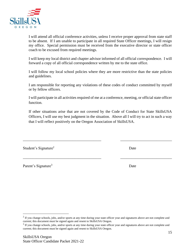

I will attend all official conference activities, unless I receive proper approval from state staff to be absent. If I am unable to participate in all required State Officer meetings, I will resign my office. Special permission must be received from the executive director or state officer coach to be excused from required meetings.

I will keep my local district and chapter advisor informed of all official correspondence. I will forward a copy of all official correspondence written by me to the state office.

I will follow my local school policies where they are more restrictive than the state policies and guidelines.

I am responsible for reporting any violations of these codes of conduct committed by myself or by fellow officers.

I will participate in all activities required of me at a conference, meeting, or official state officer function.

If other situations arise that are not covered by the Code of Conduct for State SkillsUSA Officers, I will use my best judgment in the situation. Above all I will try to act in such a way that I will reflect positively on the Oregon Association of SkillsUSA.

\_\_\_\_\_\_\_\_\_\_\_\_\_\_\_\_\_\_\_\_\_\_\_\_\_\_\_\_\_\_\_\_\_\_\_\_\_\_\_\_\_ \_\_\_\_\_\_\_\_\_\_\_\_\_\_\_\_\_\_\_\_\_\_\_\_\_\_\_

\_\_\_\_\_\_\_\_\_\_\_\_\_\_\_\_\_\_\_\_\_\_\_\_\_\_\_\_\_\_\_\_\_\_\_\_\_\_\_\_\_ \_\_\_\_\_\_\_\_\_\_\_\_\_\_\_\_\_\_\_\_\_\_\_\_\_\_\_

Student's Signature<sup>2</sup> Date

Parent's Signature<sup>3</sup> Date

 $2$  If you change schools, jobs, and/or sports at any time during your state officer year and signatures above are not complete and current; this document must be signed again and resent to SkillsUSA Oregon.

 $3$  If you change schools, jobs, and/or sports at any time during your state officer year and signatures above are not complete and current; this document must be signed again and resent to SkillsUSA Oregon.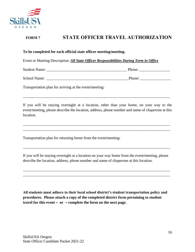

#### <span id="page-15-0"></span>**STATE OFFICER TRAVEL AUTHORIZATION FORM 7**

#### **To be completed for each official state officer meeting/meeting.**

Event or Meeting Description: *All State Officer Responsibilities During Term in Office*

| Student<br>Name: |  | hone <sup>.</sup> |
|------------------|--|-------------------|
|------------------|--|-------------------|

School Name: \_\_\_\_\_\_\_\_\_\_\_\_\_\_\_\_\_\_\_\_\_\_\_\_\_\_\_\_\_\_\_\_\_\_\_\_\_\_\_\_\_\_\_Phone: \_\_\_\_\_\_\_\_\_\_\_\_\_\_\_\_

Transportation plan for arriving at the event/meeting:

If you will be staying overnight at a location, other than your home, on your way to the event/meeting, please describe the location, address, phone number and name of chaperone at this location.

\_\_\_\_\_\_\_\_\_\_\_\_\_\_\_\_\_\_\_\_\_\_\_\_\_\_\_\_\_\_\_\_\_\_\_\_\_\_\_\_\_\_\_\_\_\_\_\_\_\_\_\_\_\_\_\_\_\_\_\_\_\_\_\_\_\_\_\_\_\_\_\_\_\_\_\_\_ \_\_\_\_\_\_\_\_\_\_\_\_\_\_\_\_\_\_\_\_\_\_\_\_\_\_\_\_\_\_\_\_\_\_\_\_\_\_\_\_\_\_\_\_\_\_\_\_\_\_\_\_\_\_\_\_\_\_\_\_\_\_\_\_\_\_\_\_\_\_\_\_\_\_\_\_\_

\_\_\_\_\_\_\_\_\_\_\_\_\_\_\_\_\_\_\_\_\_\_\_\_\_\_\_\_\_\_\_\_\_\_\_\_\_\_\_\_\_\_\_\_\_\_\_\_\_\_\_\_\_\_\_\_\_\_\_\_\_\_\_\_\_\_\_\_\_\_\_\_\_\_\_\_\_

Transportation plan for returning home from the event/meeting:

If you will be staying overnight at a location on your way home from the event/meeting, please describe the location, address, phone number and name of chaperone at this location.

\_\_\_\_\_\_\_\_\_\_\_\_\_\_\_\_\_\_\_\_\_\_\_\_\_\_\_\_\_\_\_\_\_\_\_\_\_\_\_\_\_\_\_\_\_\_\_\_\_\_\_\_\_\_\_\_\_\_\_\_\_\_\_\_\_\_\_\_\_\_\_\_\_\_\_\_\_ \_\_\_\_\_\_\_\_\_\_\_\_\_\_\_\_\_\_\_\_\_\_\_\_\_\_\_\_\_\_\_\_\_\_\_\_\_\_\_\_\_\_\_\_\_\_\_\_\_\_\_\_\_\_\_\_\_\_\_\_\_\_\_\_\_\_\_\_\_\_\_\_\_\_\_\_\_

\_\_\_\_\_\_\_\_\_\_\_\_\_\_\_\_\_\_\_\_\_\_\_\_\_\_\_\_\_\_\_\_\_\_\_\_\_\_\_\_\_\_\_\_\_\_\_\_\_\_\_\_\_\_\_\_\_\_\_\_\_\_\_\_\_\_\_\_\_\_\_\_\_\_\_\_\_

**All students must adhere to their local school district's student transportation policy and procedures. Please attach a copy of the completed district form pertaining to student**  travel for this event  $\sim$   $\alpha$   $\sim$   $\sim$  complete the form on the next page.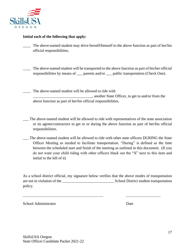

#### **Initial each of the following that apply:**

- \_\_\_\_ The above-named student may drive herself/himself to the above function as part of her/his official responsibilities.
- The above-named student will be transported to the above function as part of his/her official responsibilities by means of \_\_\_ parents and/or \_\_\_ public transportation (Check One).
- The above-named student will be allowed to ride with \_\_\_\_\_\_\_\_\_\_\_\_\_\_\_\_\_\_\_\_\_\_\_\_\_\_\_\_\_\_\_, another State Officer, to get to and/or from the above function as part of her/his official responsibilities.
- \_\_\_ The above-named student will be allowed to ride with representatives of the state association or its agents/contractors to get to or during the above function as part of her/his official responsibilities.
- \_\_\_ The above-named student will be allowed to ride with other state officers DURING the State Officer Meeting as needed to facilitate transportation. "During" is defined as the time between the scheduled start and finish of the meeting as outlined in this document. (If you do not want your child riding with other officers black out the "X" next to this item and initial to the left of it)

As a school district official, my signature below verifies that the above modes of transportation are not in violation of the School District student transportation policy.

School Administrator Date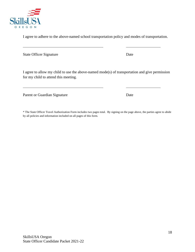

18



OREGON

I agree to adhere to the above-named school transportation policy and modes of transportation.

State Officer Signature Date

I agree to allow my child to use the above-named mode(s) of transportation and give permission for my child to attend this meeting.

Parent or Guardian Signature Date

\* The State Officer Travel Authorization Form includes two pages total. By signing on the page above, the parties agree to abide by all policies and information included on all pages of this form.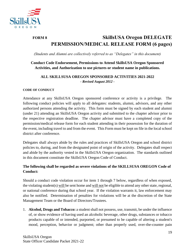

## <span id="page-18-0"></span>**FORM 8 SkillsUSA Oregon DELEGATE PERMISSION/MEDICAL RELEASE FORM (6 pages)**

*(Students and Alumni are collectively referred to as "Delegates" in this document)*

#### **Conduct Code Endorsement, Permissions to Attend SkillsUSA Oregon Sponsored Activities, and Authorization to use pictures or student name in publications.**

#### **ALL SKILLSUSA OREGON SPONSORED ACTIVITIES 2021-2022** *- Revised August 2012 -*

#### **CODE OF CONDUCT**

Attendance at any SkillsUSA Oregon sponsored conference or activity is a privilege. The following conduct policies will apply to all delegates: students, alumni, advisors, and any other authorized persons attending the activity. This form must be signed by each student and alumni (under 21) attending an SkillsUSA Oregon activity and submitted to the chapter advisor prior to the respective registration deadline. The chapter advisor must have a completed copy of the permission/medical release form for each student attending in their possession for the duration of the event, including travel to and from the event. This Form must be kept on file in the local school district after conference.

Delegates shall always abide by the rules and practices of SkillsUSA Oregon and school district policies to, during, and from the designated point of origin of the activity. Delegates shall respect and abide by the authority vested in the SkillsUSA Oregon organization. The standards outlined in this document constitute the SkillsUSA Oregon Code of Conduct.

#### **The following shall be regarded as severe violations of the SKILLSUSA OREGON Code of Conduct:**

Should a conduct code violation occur for item 1 through 7 below, regardless of when exposed, the violating student(s) will be sent home and will not be eligible to attend any other state, regional, or national conference during that school year. If the violation warrants it, law enforcement may also be notified. Determination of penalties for violations will be at the discretion of the State Management Team or the Board of Directors/Trustees.

1. **Alcohol, Drugs and Tobacco:** a student shall not possess, use, transmit, be under the influence of, or show evidence of having used an alcoholic beverage, other drugs, substances or tobacco products capable of or intended, purported, or presumed to be capable of altering a student's mood, perception, behavior or judgment; other than properly used, over-the-counter pain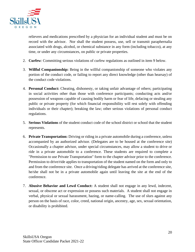

relievers and medications prescribed by a physician for an individual student and must be on record with the advisor. Nor shall the student possess, use, sell or transmit paraphernalia associated with drugs, alcohol, or chemical substance in any form (including tobacco), at any time, or under any circumstances, on public or private properties.

- 2. **Curfew**: Committing serious violations of curfew regulations as outlined in item 9 below.
- 3. **Willful Companionship:** Being in the willful companionship of someone who violates any portion of the conduct code, or failing to report any direct knowledge (other than hearsay) of the conduct code violations.
- 4. **Personal Conduct:** Cheating, dishonesty, or taking unfair advantage of others; participating in social activities other than those with conference participants; conducting acts and/or possession of weapons capable of causing bodily harm or fear of life, defacing or stealing any public or private property (for which financial responsibility will rest solely with offending individuals or their chapter); breaking the law; other serious violations of personal conduct regulations.
- 5. **Serious Violations** of the student conduct code of the school district or school that the student represents.
- 6. **Private Transportation:** Driving or riding in a private automobile during a conference, unless accompanied by an authorized advisor. (Delegates are to be housed at the conference site) Occasionally a chapter advisor, under special circumstances, may allow a student to drive or ride in a private automobile to a conference. These students are required to complete a "Permission to use Private Transportation" form to the chapter advisor prior to the conference. Permission to drive/ride applies to transportation of the student named on the form and only to and from the conference site. Once a driving/riding delegate has arrived at the conference site, he/she shall not be in a private automobile again until leaving the site at the end of the conference.
- 7. **Abusive Behavior and Lewd Conduct:** A student shall not engage in any lewd, indecent, sexual, or obscene act or expression or possess such materials. A student shall not engage in verbal, physical or sexual harassment, hazing, or name-calling. The use of slurs against any person on the basis of race, color, creed, national origin, ancestry, age, sex, sexual orientation, or disability is prohibited.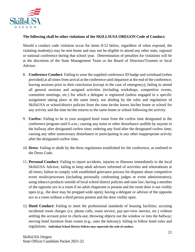

#### **The following shall be other violations of the SKILLSUSA OREGON Code of Conduct:**

Should a conduct code violation occur for items 8-12 below, regardless of when exposed, the violating student(s) may be sent home and may not be eligible to attend any other state, regional or national conference during that school year. Determination of penalties for violations will be at the discretion of the State Management Team or the Board of Directors/Trustees or local Advisor.

- 8. **Conference Conduct**: Failing to wear the supplied conference ID badge and wristband (when provided) at all times from arrival at the conference until departure at the end of the conference; leaving sessions prior to their conclusion (except in the case of emergency); failing to attend all general sessions and assigned activities (including workshops, competitive events, committee meetings, etc.) for which a delegate is registered (unless engaged in a specific assignment taking place at the same time); not abiding by the rules and regulations of SkillsUSA or school/district policies from the time he/she leaves his/her home or school for any activity and the time he/she returns to the same home or school following the activity.
- 9. **Curfew**: Failing to be in your assigned hotel room from the curfew time designated in the conference program until 6 a.m.; causing any noise or other disturbance audible by anyone in the hallway after designated curfew time; ordering any food after the designated curfew time; causing any other unnecessary disturbance or participating in any other inappropriate activity after the designated curfew time.
- 10. **Dress**: Failing to abide by the dress regulations established for the conference, as outlined in the Dress Code.
- 11. **Personal Conduct**: Failing to report accidents, injuries or illnesses immediately to the local SkillsUSA Advisor; failing to keep adult advisors informed of activities and whereabouts at all times; failure to comply with established grievance process for disputes about competitive event results/processes (including personally confronting judges or event administrators); using tobacco products outside of local school district policies and state law; having a member of the opposite sex in a room if no adult chaperone is present and the room door is not visibly open (e.g.. the door may be propped wide open); having a delegate or advisor of the opposite sex in a room without a third person present and the door visibly open.
- 12. **Hotel Conduct:** Failing to meet the professional standards of housing facilities; accruing incidental room charges (i.e. phone calls, room service, pay-per-view movies, etc.) without settling the account prior to check-out; throwing objects out the window or into the hallway; moving hotel furniture from rooms (e.g., onto the balcony); failing to follow hotel rules and regulations. **Individual School District Policies may supersede the code of conduct.**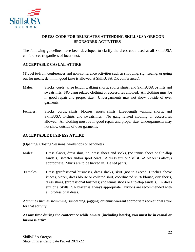

### **DRESS CODE FOR DELEGATES ATTENDING SKILLSUSA OREGON SPONSORED ACTIVITIES**

The following guidelines have been developed to clarify the dress code used at all SkillsUSA conferences (regardless of locations).

#### **ACCEPTABLE CASUAL ATTIRE**

(Travel to/from conferences and non-conference activities such as shopping, sightseeing, or going out for meals, denim in good taste is allowed at SkillsUSA OR conferences).

- Males: Slacks, cords, knee length walking shorts, sports shirts, and SkillsUSA t-shirts and sweatshirts. NO gang related clothing or accessories allowed. All clothing must be in good repair and proper size. Undergarments may not show outside of over garments.
- Females: Slacks, cords, skirts, blouses, sports shirts, knee-length walking shorts, and SkillsUSA T-shirts and sweatshirts. No gang related clothing or accessories allowed. All clothing must be in good repair and proper size. Undergarments may not show outside of over garments.

#### **ACCEPTABLE BUSINESS ATTIRE**

(Opening/ Closing Sessions, workshops or banquets)

- Males: Dress slacks, dress shirt, tie, dress shoes and socks, (no tennis shoes or flip-flop sandals), sweater and/or sport coats. A dress suit or SkillsUSA blazer is always appropriate. Shirts are to be tucked in. Belted pants.
- Females: Dress (professional business), dress slacks, skirt (not to exceed 3 inches above knees), blazer, dress blouse or collared shirt, coordinated shirt/ blouse, city shorts, dress shoes, (professional business) (no tennis shoes or flip-flop sandals). A dress suit or a SkillsUSA blazer is always appropriate. Nylons are recommended with all professional dress.

Activities such as swimming, sunbathing, jogging, or tennis warrant appropriate recreational attire for that activity.

**At any time during the conference while on-site (including hotels), you must be in casual or business attire**.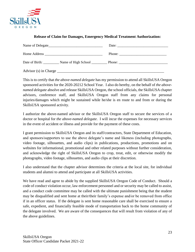

| <u>Neicase of Claim for Damages, Emergency meurear Freatment Authorization.</u>                                                                                                                                                                                                                                                                                                                              |
|--------------------------------------------------------------------------------------------------------------------------------------------------------------------------------------------------------------------------------------------------------------------------------------------------------------------------------------------------------------------------------------------------------------|
| Date: $\qquad \qquad$                                                                                                                                                                                                                                                                                                                                                                                        |
| Phone: $\frac{1}{\sqrt{1-\frac{1}{2}}\sqrt{1-\frac{1}{2}}\sqrt{1-\frac{1}{2}}\sqrt{1-\frac{1}{2}}\sqrt{1-\frac{1}{2}}\sqrt{1-\frac{1}{2}}\sqrt{1-\frac{1}{2}}\sqrt{1-\frac{1}{2}}\sqrt{1-\frac{1}{2}}\sqrt{1-\frac{1}{2}}\sqrt{1-\frac{1}{2}}\sqrt{1-\frac{1}{2}}\sqrt{1-\frac{1}{2}}\sqrt{1-\frac{1}{2}}\sqrt{1-\frac{1}{2}}\sqrt{1-\frac{1}{2}}\sqrt{1-\frac{1}{2}}\sqrt{1-\frac{1}{2}}\sqrt{1-\frac{1}{2$ |
| Date of Birth: Name of High School Phone: Phone:                                                                                                                                                                                                                                                                                                                                                             |
|                                                                                                                                                                                                                                                                                                                                                                                                              |

**Release of Claim for Damages, Emergency Medical Treatment Authorization:**

This is to certify that *the above-named delegate* has my permission to attend all SkillsUSA Oregon sponsored activities for the 2020-20212 School Year. I also do hereby, on the behalf of *the abovenamed delegate* absolve and release SkillsUSA Oregon, the school officials, the SkillsUSA chapter advisors, conference staff, and SkillsUSA Oregon staff from any claims for personal injuries/damages which might be sustained while he/she is en route to and from or during the SkillsUSA sponsored activity.

I authorize the above-named advisor or the SkillsUSA Oregon staff to secure the services of a doctor or hospital for *the above-named delegate*. I will incur the expenses for necessary services in the event of accident or illness and provide for the payment of these costs.

I grant permission to SkillsUSA Oregon and its staff/contractors, State Department of Education, and sponsors/supporters to use the above delegate's name and likeness (including photographs, video footage, silhouettes, and audio clips) in publications, productions, promotions and on websites for informational, promotional and other related purposes without further consideration, and acknowledge the right of SkillsUSA Oregon to crop, treat, edit, or otherwise modify the photographs, video footage, silhouettes, and audio clips at their discretion.

I also understand that the chapter advisor determines the criteria at the local site, for individual students and alumni to attend and participate at all SkillsUSA activities.

We have read and agree to abide by the supplied SkillsUSA Oregon Code of Conduct. Should a code of conduct violation occur, law enforcement personnel and or security may be called to assist, and a conduct code committee may be called with the ultimate punishment being that the student may be disqualified and sent home at their/their family's expense and/or be removed from office if in an officer status. If the delegate is sent home reasonable care shall be exercised to ensure a safe, expedient, and financially feasible mode of transportation back to the home community of the delegate involved. We are aware of the consequences that will result from violation of any of the above guidelines.